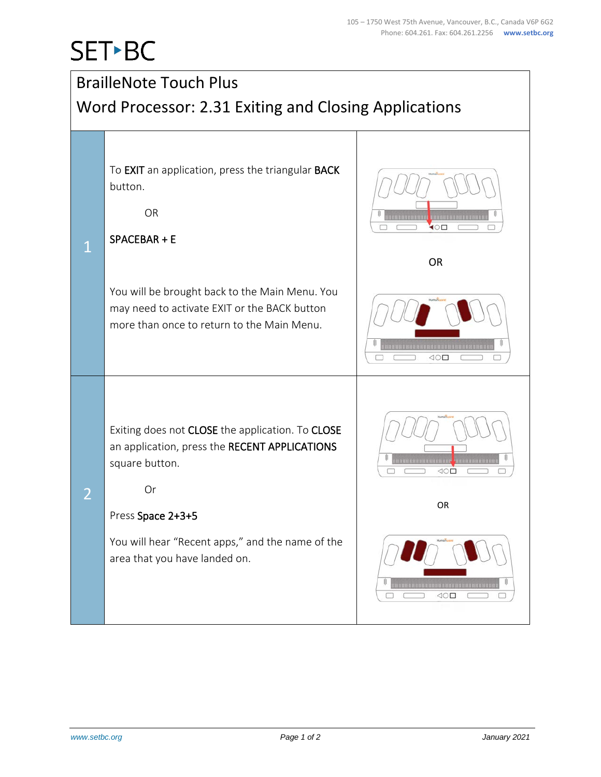## SET-BC